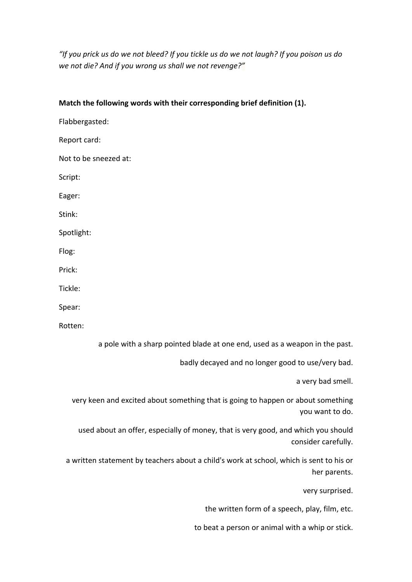"If you prick us do we not bleed? If you tickle us do we not laugh? If you poison us do we not die? And if you wrong us shall we not revenge?"

| Match the following words with their corresponding brief definition (1).                            |
|-----------------------------------------------------------------------------------------------------|
| Flabbergasted:                                                                                      |
| Report card:                                                                                        |
| Not to be sneezed at:                                                                               |
| Script:                                                                                             |
| Eager:                                                                                              |
| Stink:                                                                                              |
| Spotlight:                                                                                          |
| Flog:                                                                                               |
| Prick:                                                                                              |
| Tickle:                                                                                             |
| Spear:                                                                                              |
| Rotten:                                                                                             |
| a pole with a sharp pointed blade at one end, used as a weapon in the past.                         |
| badly decayed and no longer good to use/very bad.                                                   |
| a very bad smell.                                                                                   |
| very keen and excited about something that is going to happen or about something<br>you want to do. |
| used about an offer, especially of money, that is very good, and which you should                   |

a written statement by teachers about a child's work at school, which is sent to his or her parents.

very surprised.

consider carefully.

the written form of a speech, play, film, etc.

to beat a person or animal with a whip or stick.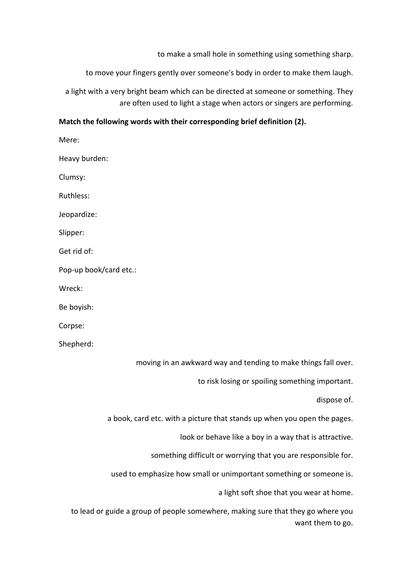to make a small hole in something using something sharp.

to move your fingers gently over someone's body in order to make them laugh.

a light with a very bright beam which can be directed at someone or something. They are often used to light a stage when actors or singers are performing.

## Match the following words with their corresponding brief definition (2).

Mere: Heavy burden: Clumsy: Ruthless: Jeopardize: Slipper: Get rid of: Pop-up book/card etc.: Wreck: Be boyish: Corpse: Shepherd: moving in an awkward way and tending to make things fall over. to risk losing or spoiling something important.

a book, card etc. with a picture that stands up when you open the pages.

look or behave like a boy in a way that is attractive.

something difficult or worrying that you are responsible for.

used to emphasize how small or unimportant something or someone is.

a light soft shoe that you wear at home.

dispose of.

to lead or guide a group of people somewhere, making sure that they go where you want them to go.